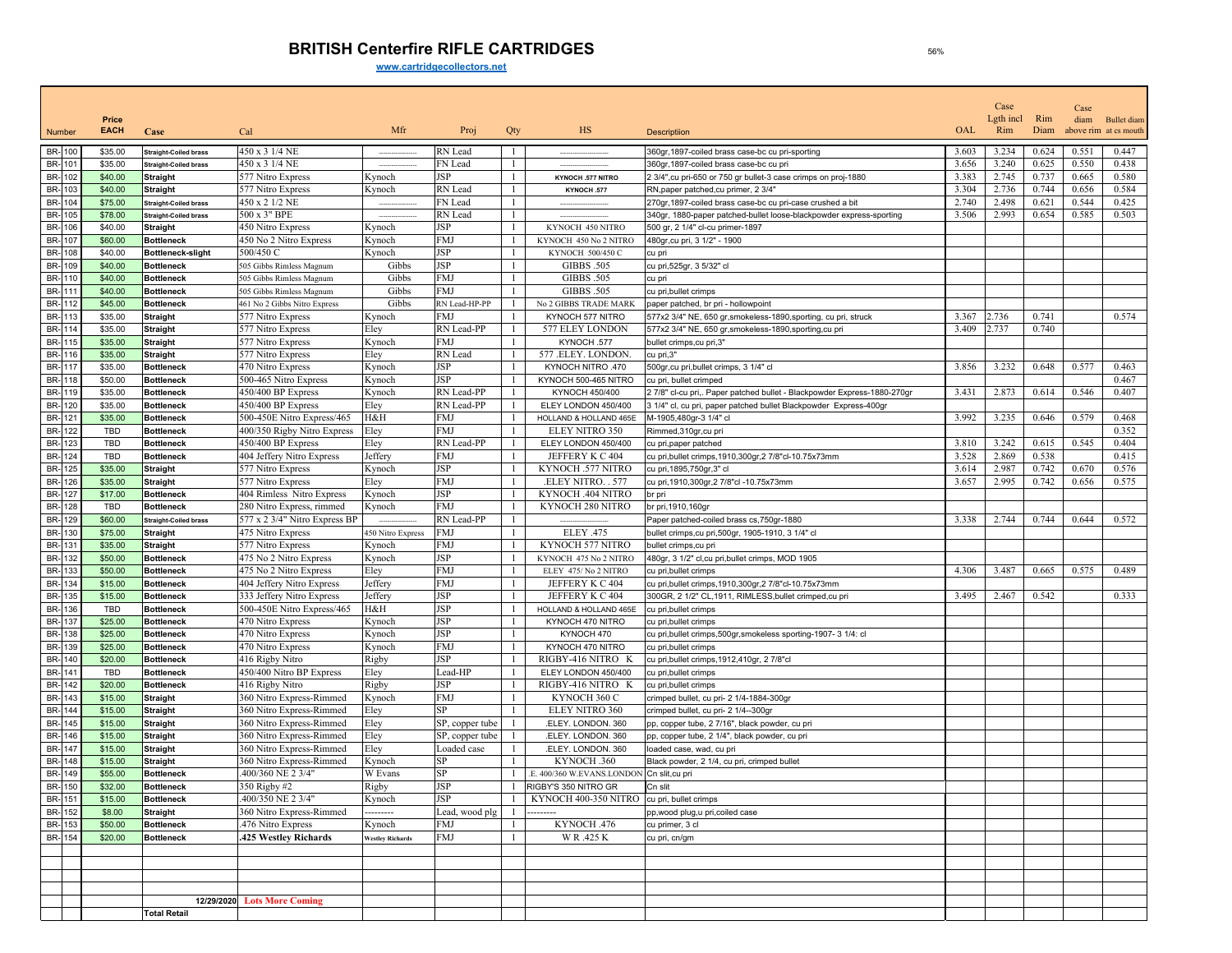## **BRITISH Centerfire RIFLE CARTRIDGES**

**www.cartridgecollectors.net**

|                            |                      |                                                 |                                                      |                         |                                    |              |                                            | Case                                                                                            |       | Case             |             |       |                                             |
|----------------------------|----------------------|-------------------------------------------------|------------------------------------------------------|-------------------------|------------------------------------|--------------|--------------------------------------------|-------------------------------------------------------------------------------------------------|-------|------------------|-------------|-------|---------------------------------------------|
| Number                     | Price<br><b>EACH</b> | Case                                            | Cal                                                  | Mfr                     | Proj                               | Qty          | <b>HS</b>                                  | <b>Descriptiion</b>                                                                             | OAL   | Lgth incl<br>Rim | Rim<br>Diam | diam  | <b>Bullet</b> diam<br>above rim at cs mouth |
| BR-100                     | \$35.00              | <b>Straight-Coiled brass</b>                    | 450 x 3 1/4 NE                                       |                         | RN Lead                            | 1.           |                                            | 360gr, 1897-coiled brass case-bc cu pri-sporting                                                | 3.603 | 3.234            | 0.624       | 0.551 | 0.447                                       |
| BR-101                     | \$35.00              | <b>Straight-Coiled brass</b>                    | 450 x 3 1/4 NE                                       |                         | FN Lead                            | -1           |                                            | 360gr, 1897-coiled brass case-bc cu pri                                                         | 3.656 | 3.240            | 0.625       | 0.550 | 0.438                                       |
| BR- 102                    | \$40.00              | <b>Straight</b>                                 | 577 Nitro Express                                    | Kynoch                  | JSP                                |              | KYNOCH .577 NITRO                          | 2 3/4", cu pri-650 or 750 gr bullet-3 case crimps on proj-1880                                  | 3.383 | 2.745            | 0.737       | 0.665 | 0.580                                       |
| BR-<br>103                 | \$40.00              | <b>Straight</b>                                 | 577 Nitro Express                                    | Kynoch                  | RN Lead                            | л.           | KYNOCH .577                                | RN, paper patched, cu primer, 2 3/4"                                                            | 3.304 | 2.736            | 0.744       | 0.656 | 0.584                                       |
| BR-104                     | \$75.00              | <b>Straight-Coiled brass</b>                    | 450 x 2 1/2 NE                                       |                         | FN Lead                            |              |                                            | 270gr, 1897-coiled brass case-bc cu pri-case crushed a bit                                      | 2.740 | 2.498            | 0.621       | 0.544 | 0.425                                       |
| BR-<br>105                 | \$78.00              | <b>Straight-Coiled brass</b>                    | 500 x 3" BPE                                         | $\sim$                  | RN Lead                            |              |                                            | 340gr, 1880-paper patched-bullet loose-blackpowder express-sporting                             | 3.506 | 2.993            | 0.654       | 0.585 | 0.503                                       |
| BR-<br>106                 | \$40.00              | <b>Straight</b>                                 | 450 Nitro Express                                    | Kynoch                  | JSP                                |              | KYNOCH 450 NITRO                           | 500 gr, 2 1/4" cl-cu primer-1897                                                                |       |                  |             |       |                                             |
| BR-107                     | \$60.00              | <b>Bottleneck</b>                               | 450 No 2 Nitro Express                               | Kynoch                  | FMJ                                |              | KYNOCH 450 No 2 NITRO                      | 480gr, cu pri, 3 1/2" - 1900                                                                    |       |                  |             |       |                                             |
| BR-<br>108                 | \$40.00              | Bottleneck-slight                               | 500/450 C                                            | Kynoch                  | JSP                                |              | KYNOCH 500/450 C                           | cu pri                                                                                          |       |                  |             |       |                                             |
| BR-<br>109                 | \$40.00              | <b>Bottleneck</b>                               | 505 Gibbs Rimless Magnum                             | Gibbs                   | JSP                                |              | GIBBS .505                                 | cu pri,525gr, 3 5/32" cl                                                                        |       |                  |             |       |                                             |
| BR-110<br>BR-111           | \$40.00<br>\$40.00   | <b>Bottleneck</b><br><b>Bottleneck</b>          | 505 Gibbs Rimless Magnum<br>505 Gibbs Rimless Magnum | Gibbs<br>Gibbs          | FMJ<br>FMJ                         | $\mathbf{1}$ | GIBBS .505<br><b>GIBBS .505</b>            | cu pri<br>cu pri, bullet crimps                                                                 |       |                  |             |       |                                             |
| BR-112                     | \$45.00              | <b>Bottleneck</b>                               | 461 No 2 Gibbs Nitro Express                         | Gibbs                   | RN Lead-HP-PP                      |              | No 2 GIBBS TRADE MARK                      | paper patched, br pri - hollowpoint                                                             |       |                  |             |       |                                             |
| BR-<br>113                 | \$35.00              | <b>Straight</b>                                 | 577 Nitro Express                                    | Kynoch                  | <b>FMJ</b>                         |              | KYNOCH 577 NITRO                           | 577x2 3/4" NE, 650 gr, smokeless-1890, sporting, cu pri, struck                                 | 3.367 | 2.736            | 0.741       |       | 0.574                                       |
| BR-114                     | \$35.00              | <b>Straight</b>                                 | 577 Nitro Express                                    | Eley                    | RN Lead-PP                         |              | 577 ELEY LONDON                            | 577x2 3/4" NE, 650 gr, smokeless-1890, sporting, cu pri                                         | 3.409 | 2.737            | 0.740       |       |                                             |
| BR-115                     | \$35.00              | <b>Straight</b>                                 | 577 Nitro Express                                    | Kynoch                  | FMJ                                |              | KYNOCH .577                                | bullet crimps, cu pri, 3"                                                                       |       |                  |             |       |                                             |
| BR-116                     | \$35.00              | <b>Straight</b>                                 | 577 Nitro Express                                    | Eley                    | RN Lead                            |              | 577 .ELEY. LONDON.                         | cu pri,3"                                                                                       |       |                  |             |       |                                             |
| BR-117                     | \$35.00              | <b>Bottleneck</b>                               | 470 Nitro Express                                    | Kynoch                  | JSP                                | -1           | KYNOCH NITRO .470                          | 500gr, cu pri, bullet crimps, 3 1/4" cl                                                         | 3.856 | 3.232            | 0.648       | 0.577 | 0.463                                       |
| BR-118                     | \$50.00              | <b>Bottleneck</b>                               | 500-465 Nitro Express                                | Kynoch                  | JSP                                |              | KYNOCH 500-465 NITRO                       | cu pri, bullet crimped                                                                          |       |                  |             |       | 0.467                                       |
| BR-119                     | \$35.00              | <b>Bottleneck</b>                               | 450/400 BP Express                                   | Kynoch                  | RN Lead-PP                         |              | KYNOCH 450/400                             | 2 7/8" cl-cu pri,. Paper patched bullet - Blackpowder Express-1880-270gr                        | 3.431 | 2.873            | 0.614       | 0.546 | 0.407                                       |
| BR-<br>120                 | \$35.00              | <b>Bottleneck</b>                               | 450/400 BP Express                                   | Eley                    | RN Lead-PP                         |              | ELEY LONDON 450/400                        | 3 1/4" cl, cu pri, paper patched bullet Blackpowder Express-400gr                               |       |                  |             |       |                                             |
| <b>BR-121</b>              | \$35.00              | <b>Bottleneck</b>                               | 500-450E Nitro Express/465                           | H&H                     | FMJ                                |              | HOLLAND & HOLLAND 465E                     | M-1905,480gr-3 1/4" cl                                                                          | 3.992 | 3.235            | 0.646       | 0.579 | 0.468                                       |
| BR-<br>122                 | TBD                  | <b>Bottleneck</b>                               | 400/350 Rigby Nitro Express                          | Eley                    | FMJ                                |              | ELEY NITRO 350                             | Rimmed, 310gr, cu pri                                                                           |       |                  |             |       | 0.352                                       |
| BR-<br>123                 | TBD                  | <b>Bottleneck</b>                               | 450/400 BP Express                                   | Eley                    | RN Lead-PP                         |              | ELEY LONDON 450/400                        | cu pri, paper patched                                                                           | 3.810 | 3.242            | 0.615       | 0.545 | 0.404                                       |
| <b>BR-124</b>              | TBD                  | <b>Bottleneck</b>                               | 404 Jeffery Nitro Express                            | Jeffery                 | FMJ                                | -1           | JEFFERY K C 404                            | cu pri, bullet crimps, 1910, 300gr, 2 7/8"cl-10.75x73mm                                         | 3.528 | 2.869            | 0.538       |       | 0.415                                       |
| BR-<br>125                 | \$35.00              | <b>Straight</b>                                 | 577 Nitro Express                                    | Kynoch                  | JSP                                |              | KYNOCH .577 NITRO                          | cu pri, 1895, 750gr, 3" cl                                                                      | 3.614 | 2.987            | 0.742       | 0.670 | 0.576                                       |
| BR-126                     | \$35.00              | <b>Straight</b>                                 | 577 Nitro Express                                    | Eley                    | FMJ                                |              | .ELEY NITRO. . 577                         | cu pri, 1910, 300gr, 2 7/8"cl - 10.75x73mm                                                      | 3.657 | 2.995            | 0.742       | 0.656 | 0.575                                       |
| BR-127                     | \$17.00              | <b>Bottleneck</b>                               | 404 Rimless Nitro Express                            | Kynoch                  | JSP                                |              | KYNOCH .404 NITRO                          | br pri                                                                                          |       |                  |             |       |                                             |
| BR-<br>128<br>BR-129       | TBD                  | <b>Bottleneck</b>                               | 280 Nitro Express, rimmed                            | Kynoch                  | FMJ<br>RN Lead-PP                  |              | KYNOCH 280 NITRO                           | br pri, 1910, 160gr                                                                             | 3.338 | 2.744            | 0.744       | 0.644 | 0.572                                       |
| BR-<br>130                 | \$60.00<br>\$75.00   | <b>Straight-Coiled brass</b><br><b>Straight</b> | 577 x 2 3/4" Nitro Express BP<br>475 Nitro Express   | 450 Nitro Express       | FMJ                                |              | <b>ELEY .475</b>                           | Paper patched-coiled brass cs, 750gr-1880<br>bullet crimps, cu pri, 500gr, 1905-1910, 3 1/4" cl |       |                  |             |       |                                             |
| BR-<br>131                 | \$35.00              | <b>Straight</b>                                 | 577 Nitro Express                                    | Kynoch                  | FMJ                                |              | KYNOCH 577 NITRO                           | bullet crimps, cu pri                                                                           |       |                  |             |       |                                             |
| BR-<br>132                 | \$50.00              | <b>Bottleneck</b>                               | 475 No 2 Nitro Express                               | Kynoch                  | JSP                                |              | KYNOCH 475 No 2 NITRO                      | 480gr, 3 1/2" cl,cu pri,bullet crimps, MOD 1905                                                 |       |                  |             |       |                                             |
| BR-<br>133                 | \$50.00              | <b>Bottleneck</b>                               | 475 No 2 Nitro Express                               | Eley                    | FMJ                                |              | ELEY 475/No 2 NITRO                        | cu pri, bullet crimps                                                                           | 4.306 | 3.487            | 0.665       | 0.575 | 0.489                                       |
| BR-<br>134                 | \$15.00              | <b>Bottleneck</b>                               | 404 Jeffery Nitro Express                            | Jeffery                 | FMJ                                |              | JEFFERY K C 404                            | cu pri,bullet crimps,1910,300gr,2 7/8"cl-10.75x73mm                                             |       |                  |             |       |                                             |
| BR-<br>135                 | \$15.00              | <b>Bottleneck</b>                               | 333 Jeffery Nitro Express                            | Jeffery                 | JSP                                | -1           | JEFFERY K C 404                            | 300GR, 2 1/2" CL, 1911, RIMLESS, bullet crimped, cu pri                                         | 3.495 | 2.467            | 0.542       |       | 0.333                                       |
| BR-136                     | TBD                  | <b>Bottleneck</b>                               | 500-450E Nitro Express/465                           | H&H                     | JSP                                |              | HOLLAND & HOLLAND 465E                     | cu pri, bullet crimps                                                                           |       |                  |             |       |                                             |
| BR-137                     | \$25.00              | <b>Bottleneck</b>                               | 470 Nitro Express                                    | Kynoch                  | JSP                                | -1           | KYNOCH 470 NITRO                           | cu pri, bullet crimps                                                                           |       |                  |             |       |                                             |
| B <sub>R</sub><br>138      | \$25.00              | <b>Bottleneck</b>                               | 470 Nitro Express                                    | Kynoch                  | JSP                                |              | KYNOCH 470                                 | cu pri, bullet crimps, 500gr, smokeless sporting-1907-3 1/4: cl                                 |       |                  |             |       |                                             |
| BR-<br>139                 | \$25.00              | <b>Bottleneck</b>                               | 470 Nitro Express                                    | Kynoch                  | FMJ                                |              | KYNOCH 470 NITRO                           | cu pri, bullet crimps                                                                           |       |                  |             |       |                                             |
| BR-140                     | \$20.00              | <b>Bottleneck</b>                               | 416 Rigby Nitro                                      | Rigby                   | JSP                                |              | RIGBY-416 NITRO K                          | cu pri, bullet crimps, 1912, 410gr, 27/8"cl                                                     |       |                  |             |       |                                             |
| BR-<br>141                 | TBD                  | <b>Bottleneck</b>                               | 450/400 Nitro BP Express                             | Eley                    | Lead-HP                            |              | ELEY LONDON 450/400                        | cu pri, bullet crimps                                                                           |       |                  |             |       |                                             |
| BR-<br>142                 | \$20.00              | <b>Bottleneck</b>                               | 416 Rigby Nitro                                      | Rigby                   | JSP                                |              | RIGBY-416 NITRO K                          | cu pri, bullet crimps                                                                           |       |                  |             |       |                                             |
| BR-143<br>BR-<br>144       | \$15.00              | <b>Straight</b>                                 | 360 Nitro Express-Rimmed                             | Kynoch                  | FMJ<br>SP                          | -1           | KYNOCH 360 C<br>ELEY NITRO 360             | crimped bullet, cu pri- 2 1/4-1884-300gr                                                        |       |                  |             |       |                                             |
|                            | \$15.00              | <b>Straight</b>                                 | 360 Nitro Express-Rimmed                             | Eley                    |                                    |              |                                            | crimped bullet, cu pri- 2 1/4--300gr                                                            |       |                  |             |       |                                             |
| BR-<br>145<br>BR-146       | \$15.00<br>\$15.00   | <b>Straight</b><br><b>Straight</b>              | 360 Nitro Express-Rimmed<br>360 Nitro Express-Rimmed | Eley<br>Eley            | SP, copper tube<br>SP, copper tube | $\mathbf{1}$ | .ELEY. LONDON. 360<br>.ELEY. LONDON. 360   | pp, copper tube, 2 7/16", black powder, cu pri<br>pp, copper tube, 2 1/4", black powder, cu pri |       |                  |             |       |                                             |
| BR-<br>147                 | \$15.00              | <b>Straight</b>                                 | 360 Nitro Express-Rimmed                             | Eley                    | Loaded case                        |              | .ELEY. LONDON. 360                         | loaded case, wad, cu pri                                                                        |       |                  |             |       |                                             |
| BR-<br>148                 | \$15.00              | <b>Straight</b>                                 | 360 Nitro Express-Rimmed                             | Kynoch                  | SP                                 |              | KYNOCH .360                                | Black powder, 2 1/4, cu pri, crimped bullet                                                     |       |                  |             |       |                                             |
| BR-<br>149                 | \$55.00              | <b>Bottleneck</b>                               | .400/360 NE 2 3/4"                                   | W Evans                 | SP                                 |              | .E. 400/360 W.EVANS.LONDON Cn slit,cu pri  |                                                                                                 |       |                  |             |       |                                             |
| BR-<br>150                 | \$32.00              | Bottleneck                                      | 350 Right #2                                         | Rigby                   | <b>JSP</b>                         |              | RIGBY'S 350 NITRO GR                       | Cn slit                                                                                         |       |                  |             |       |                                             |
|                            | \$15.00              | <b>Bottleneck</b>                               | 400/350 NE 2 3/4"                                    | Kynoch                  | JSP                                |              | KYNOCH 400-350 NITRO cu pri, bullet crimps |                                                                                                 |       |                  |             |       |                                             |
|                            | \$8.00               | <b>Straight</b>                                 | 360 Nitro Express-Rimmed                             |                         | Lead, wood plg                     |              |                                            | pp, wood plug, u pri, coiled case                                                               |       |                  |             |       |                                             |
| BR-151<br>BR-152<br>BR-152 | \$50.00              | <b>Bottleneck</b>                               | 476 Nitro Express                                    | Kynoch                  | FMJ                                |              | KYNOCH .476                                | cu primer, 3 cl                                                                                 |       |                  |             |       |                                             |
| BR- 154                    | \$20.00              | <b>Bottleneck</b>                               | 425 Westley Richards                                 | <b>Westley Richards</b> | FMJ                                |              | W R .425 K                                 | cu pri, cn/gm                                                                                   |       |                  |             |       |                                             |
|                            |                      |                                                 |                                                      |                         |                                    |              |                                            |                                                                                                 |       |                  |             |       |                                             |
|                            |                      |                                                 |                                                      |                         |                                    |              |                                            |                                                                                                 |       |                  |             |       |                                             |
|                            |                      |                                                 |                                                      |                         |                                    |              |                                            |                                                                                                 |       |                  |             |       |                                             |
|                            |                      |                                                 |                                                      |                         |                                    |              |                                            |                                                                                                 |       |                  |             |       |                                             |
|                            |                      |                                                 | 12/29/2020 Lots More Coming                          |                         |                                    |              |                                            |                                                                                                 |       |                  |             |       |                                             |
|                            |                      | <b>Total Retail</b>                             |                                                      |                         |                                    |              |                                            |                                                                                                 |       |                  |             |       |                                             |